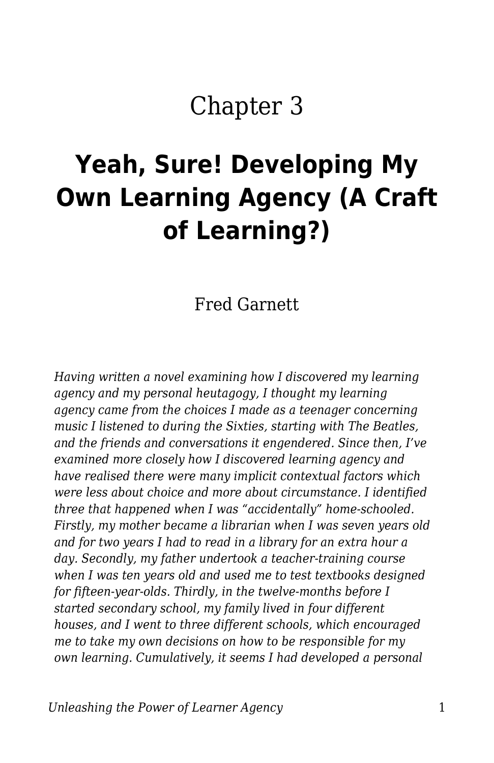## Chapter 3

# **Yeah, Sure! Developing My Own Learning Agency (A Craft of Learning?)**

Fred Garnett

*Having written a novel examining how I discovered my learning agency and my personal heutagogy, I thought my learning agency came from the choices I made as a teenager concerning music I listened to during the Sixties, starting with The Beatles, and the friends and conversations it engendered. Since then, I've examined more closely how I discovered learning agency and have realised there were many implicit contextual factors which were less about choice and more about circumstance. I identified three that happened when I was "accidentally" home-schooled. Firstly, my mother became a librarian when I was seven years old and for two years I had to read in a library for an extra hour a day. Secondly, my father undertook a teacher-training course when I was ten years old and used me to test textbooks designed for fifteen-year-olds. Thirdly, in the twelve-months before I started secondary school, my family lived in four different houses, and I went to three different schools, which encouraged me to take my own decisions on how to be responsible for my own learning. Cumulatively, it seems I had developed a personal*

*Unleashing the Power of Learner Agency* 1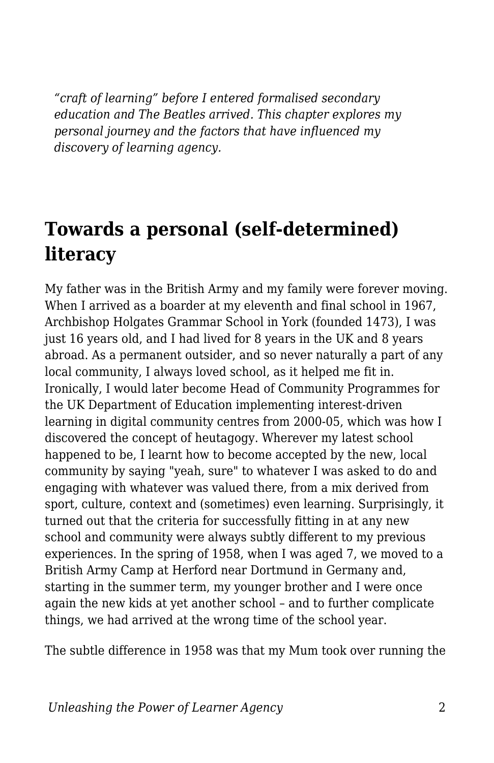*"craft of learning" before I entered formalised secondary education and The Beatles arrived. This chapter explores my personal journey and the factors that have influenced my discovery of learning agency.*

#### **Towards a personal (self-determined) literacy**

My father was in the British Army and my family were forever moving. When I arrived as a boarder at my eleventh and final school in 1967, Archbishop Holgates Grammar School in York (founded 1473), I was just 16 years old, and I had lived for 8 years in the UK and 8 years abroad. As a permanent outsider, and so never naturally a part of any local community, I always loved school, as it helped me fit in. Ironically, I would later become Head of Community Programmes for the UK Department of Education implementing interest-driven learning in digital community centres from 2000-05, which was how I discovered the concept of heutagogy. Wherever my latest school happened to be, I learnt how to become accepted by the new, local community by saying "yeah, sure" to whatever I was asked to do and engaging with whatever was valued there, from a mix derived from sport, culture, context and (sometimes) even learning. Surprisingly, it turned out that the criteria for successfully fitting in at any new school and community were always subtly different to my previous experiences. In the spring of 1958, when I was aged 7, we moved to a British Army Camp at Herford near Dortmund in Germany and, starting in the summer term, my younger brother and I were once again the new kids at yet another school – and to further complicate things, we had arrived at the wrong time of the school year.

The subtle difference in 1958 was that my Mum took over running the

*Unleashing the Power of Learner Agency* 2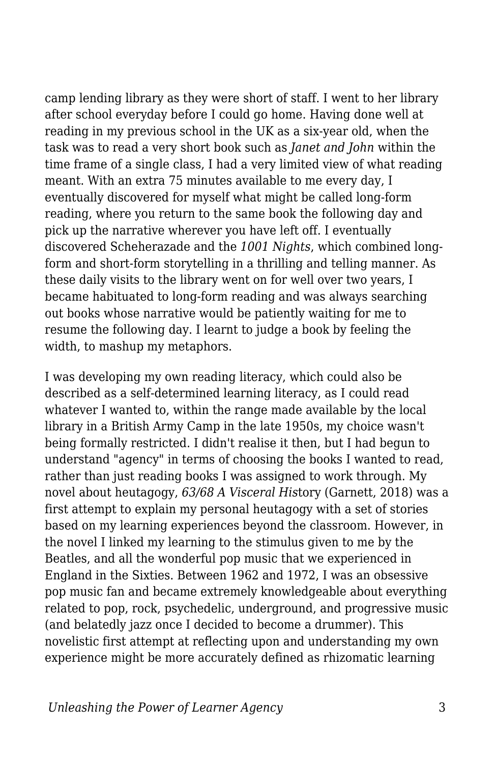camp lending library as they were short of staff. I went to her library after school everyday before I could go home. Having done well at reading in my previous school in the UK as a six-year old, when the task was to read a very short book such as *Janet and John* within the time frame of a single class, I had a very limited view of what reading meant. With an extra 75 minutes available to me every day, I eventually discovered for myself what might be called long-form reading, where you return to the same book the following day and pick up the narrative wherever you have left off. I eventually discovered Scheherazade and the *1001 Nights*, which combined longform and short-form storytelling in a thrilling and telling manner. As these daily visits to the library went on for well over two years, I became habituated to long-form reading and was always searching out books whose narrative would be patiently waiting for me to resume the following day. I learnt to judge a book by feeling the width, to mashup my metaphors.

I was developing my own reading literacy, which could also be described as a self-determined learning literacy, as I could read whatever I wanted to, within the range made available by the local library in a British Army Camp in the late 1950s, my choice wasn't being formally restricted. I didn't realise it then, but I had begun to understand "agency" in terms of choosing the books I wanted to read, rather than just reading books I was assigned to work through. My novel about heutagogy, *63/68 A Visceral His*tory (Garnett, 2018) was a first attempt to explain my personal heutagogy with a set of stories based on my learning experiences beyond the classroom. However, in the novel I linked my learning to the stimulus given to me by the Beatles, and all the wonderful pop music that we experienced in England in the Sixties. Between 1962 and 1972, I was an obsessive pop music fan and became extremely knowledgeable about everything related to pop, rock, psychedelic, underground, and progressive music (and belatedly jazz once I decided to become a drummer). This novelistic first attempt at reflecting upon and understanding my own experience might be more accurately defined as rhizomatic learning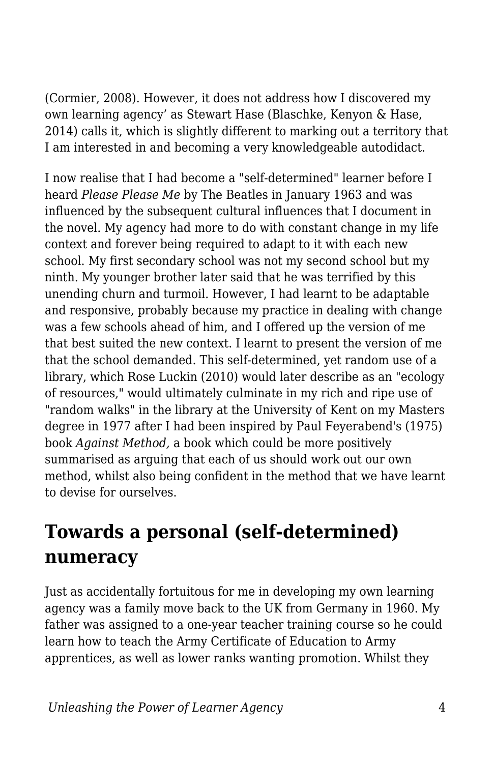(Cormier, 2008). However, it does not address how I discovered my own learning agency' as Stewart Hase (Blaschke, Kenyon & Hase, 2014) calls it, which is slightly different to marking out a territory that I am interested in and becoming a very knowledgeable autodidact.

I now realise that I had become a "self-determined" learner before I heard *Please Please Me* by The Beatles in January 1963 and was influenced by the subsequent cultural influences that I document in the novel. My agency had more to do with constant change in my life context and forever being required to adapt to it with each new school. My first secondary school was not my second school but my ninth. My younger brother later said that he was terrified by this unending churn and turmoil. However, I had learnt to be adaptable and responsive, probably because my practice in dealing with change was a few schools ahead of him, and I offered up the version of me that best suited the new context. I learnt to present the version of me that the school demanded. This self-determined, yet random use of a library, which Rose Luckin (2010) would later describe as an "ecology of resources," would ultimately culminate in my rich and ripe use of "random walks" in the library at the University of Kent on my Masters degree in 1977 after I had been inspired by Paul Feyerabend's (1975) book *Against Method,* a book which could be more positively summarised as arguing that each of us should work out our own method, whilst also being confident in the method that we have learnt to devise for ourselves.

#### **Towards a personal (self-determined) numeracy**

Just as accidentally fortuitous for me in developing my own learning agency was a family move back to the UK from Germany in 1960. My father was assigned to a one-year teacher training course so he could learn how to teach the Army Certificate of Education to Army apprentices, as well as lower ranks wanting promotion. Whilst they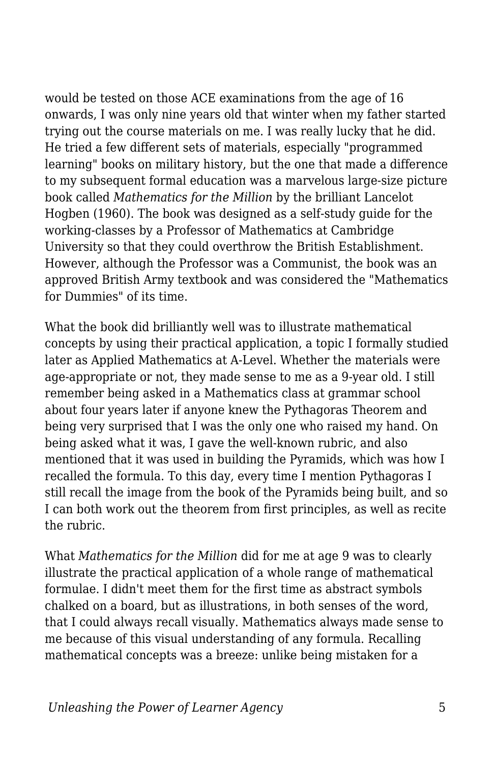would be tested on those ACE examinations from the age of 16 onwards, I was only nine years old that winter when my father started trying out the course materials on me. I was really lucky that he did. He tried a few different sets of materials, especially "programmed learning" books on military history, but the one that made a difference to my subsequent formal education was a marvelous large-size picture book called *Mathematics for the Million* by the brilliant Lancelot Hogben (1960). The book was designed as a self-study guide for the working-classes by a Professor of Mathematics at Cambridge University so that they could overthrow the British Establishment. However, although the Professor was a Communist, the book was an approved British Army textbook and was considered the "Mathematics for Dummies" of its time.

What the book did brilliantly well was to illustrate mathematical concepts by using their practical application, a topic I formally studied later as Applied Mathematics at A-Level. Whether the materials were age-appropriate or not, they made sense to me as a 9-year old. I still remember being asked in a Mathematics class at grammar school about four years later if anyone knew the Pythagoras Theorem and being very surprised that I was the only one who raised my hand. On being asked what it was, I gave the well-known rubric, and also mentioned that it was used in building the Pyramids, which was how I recalled the formula. To this day, every time I mention Pythagoras I still recall the image from the book of the Pyramids being built, and so I can both work out the theorem from first principles, as well as recite the rubric.

What *Mathematics for the Million* did for me at age 9 was to clearly illustrate the practical application of a whole range of mathematical formulae. I didn't meet them for the first time as abstract symbols chalked on a board, but as illustrations, in both senses of the word, that I could always recall visually. Mathematics always made sense to me because of this visual understanding of any formula. Recalling mathematical concepts was a breeze: unlike being mistaken for a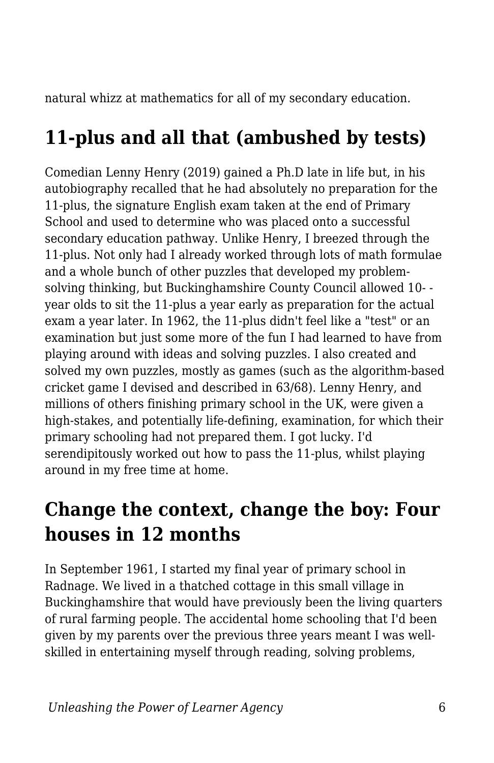natural whizz at mathematics for all of my secondary education.

### **11-plus and all that (ambushed by tests)**

Comedian Lenny Henry (2019) gained a Ph.D late in life but, in his autobiography recalled that he had absolutely no preparation for the 11-plus, the signature English exam taken at the end of Primary School and used to determine who was placed onto a successful secondary education pathway. Unlike Henry, I breezed through the 11-plus. Not only had I already worked through lots of math formulae and a whole bunch of other puzzles that developed my problemsolving thinking, but Buckinghamshire County Council allowed 10- year olds to sit the 11-plus a year early as preparation for the actual exam a year later. In 1962, the 11-plus didn't feel like a "test" or an examination but just some more of the fun I had learned to have from playing around with ideas and solving puzzles. I also created and solved my own puzzles, mostly as games (such as the algorithm-based cricket game I devised and described in 63/68). Lenny Henry, and millions of others finishing primary school in the UK, were given a high-stakes, and potentially life-defining, examination, for which their primary schooling had not prepared them. I got lucky. I'd serendipitously worked out how to pass the 11-plus, whilst playing around in my free time at home.

#### **Change the context, change the boy: Four houses in 12 months**

In September 1961, I started my final year of primary school in Radnage. We lived in a thatched cottage in this small village in Buckinghamshire that would have previously been the living quarters of rural farming people. The accidental home schooling that I'd been given by my parents over the previous three years meant I was wellskilled in entertaining myself through reading, solving problems,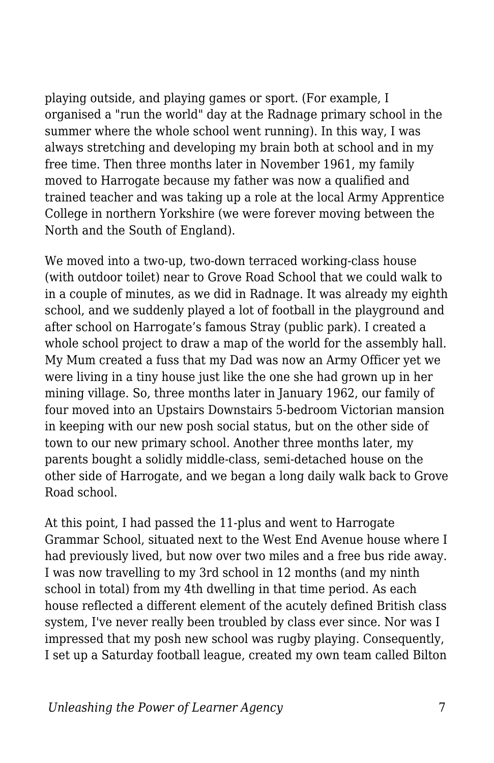playing outside, and playing games or sport. (For example, I organised a "run the world" day at the Radnage primary school in the summer where the whole school went running). In this way, I was always stretching and developing my brain both at school and in my free time. Then three months later in November 1961, my family moved to Harrogate because my father was now a qualified and trained teacher and was taking up a role at the local Army Apprentice College in northern Yorkshire (we were forever moving between the North and the South of England).

We moved into a two-up, two-down terraced working-class house (with outdoor toilet) near to Grove Road School that we could walk to in a couple of minutes, as we did in Radnage. It was already my eighth school, and we suddenly played a lot of football in the playground and after school on Harrogate's famous Stray (public park). I created a whole school project to draw a map of the world for the assembly hall. My Mum created a fuss that my Dad was now an Army Officer yet we were living in a tiny house just like the one she had grown up in her mining village. So, three months later in January 1962, our family of four moved into an Upstairs Downstairs 5-bedroom Victorian mansion in keeping with our new posh social status, but on the other side of town to our new primary school. Another three months later, my parents bought a solidly middle-class, semi-detached house on the other side of Harrogate, and we began a long daily walk back to Grove Road school.

At this point, I had passed the 11-plus and went to Harrogate Grammar School, situated next to the West End Avenue house where I had previously lived, but now over two miles and a free bus ride away. I was now travelling to my 3rd school in 12 months (and my ninth school in total) from my 4th dwelling in that time period. As each house reflected a different element of the acutely defined British class system, I've never really been troubled by class ever since. Nor was I impressed that my posh new school was rugby playing. Consequently, I set up a Saturday football league, created my own team called Bilton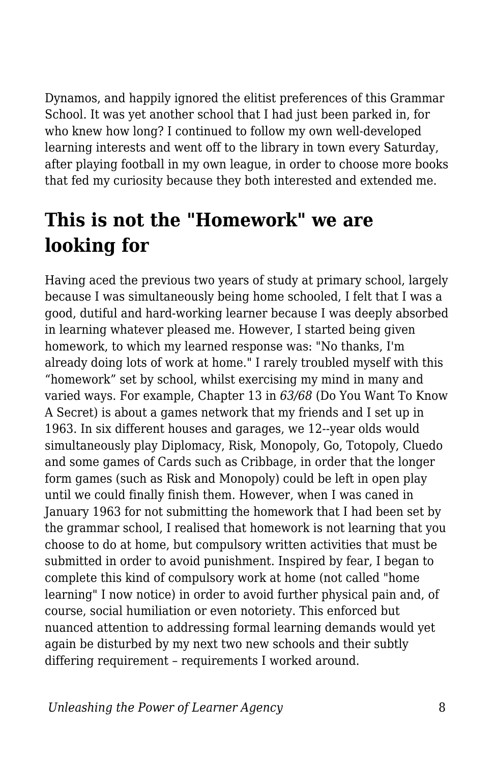Dynamos, and happily ignored the elitist preferences of this Grammar School. It was yet another school that I had just been parked in, for who knew how long? I continued to follow my own well-developed learning interests and went off to the library in town every Saturday, after playing football in my own league, in order to choose more books that fed my curiosity because they both interested and extended me.

#### **This is not the "Homework" we are looking for**

Having aced the previous two years of study at primary school, largely because I was simultaneously being home schooled, I felt that I was a good, dutiful and hard-working learner because I was deeply absorbed in learning whatever pleased me. However, I started being given homework, to which my learned response was: "No thanks, I'm already doing lots of work at home." I rarely troubled myself with this "homework" set by school, whilst exercising my mind in many and varied ways. For example, Chapter 13 in *63/68* (Do You Want To Know A Secret) is about a games network that my friends and I set up in 1963. In six different houses and garages, we 12--year olds would simultaneously play Diplomacy, Risk, Monopoly, Go, Totopoly, Cluedo and some games of Cards such as Cribbage, in order that the longer form games (such as Risk and Monopoly) could be left in open play until we could finally finish them. However, when I was caned in January 1963 for not submitting the homework that I had been set by the grammar school, I realised that homework is not learning that you choose to do at home, but compulsory written activities that must be submitted in order to avoid punishment. Inspired by fear, I began to complete this kind of compulsory work at home (not called "home learning" I now notice) in order to avoid further physical pain and, of course, social humiliation or even notoriety. This enforced but nuanced attention to addressing formal learning demands would yet again be disturbed by my next two new schools and their subtly differing requirement – requirements I worked around.

*Unleashing the Power of Learner Agency* 8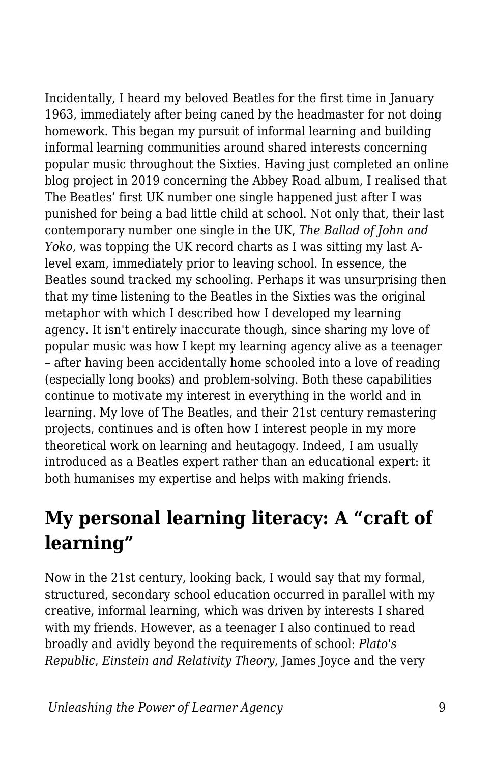Incidentally, I heard my beloved Beatles for the first time in January 1963, immediately after being caned by the headmaster for not doing homework. This began my pursuit of informal learning and building informal learning communities around shared interests concerning popular music throughout the Sixties. Having just completed an online blog project in 2019 concerning the Abbey Road album, I realised that The Beatles' first UK number one single happened just after I was punished for being a bad little child at school. Not only that, their last contemporary number one single in the UK, *The Ballad of John and Yoko*, was topping the UK record charts as I was sitting my last Alevel exam, immediately prior to leaving school. In essence, the Beatles sound tracked my schooling. Perhaps it was unsurprising then that my time listening to the Beatles in the Sixties was the original metaphor with which I described how I developed my learning agency. It isn't entirely inaccurate though, since sharing my love of popular music was how I kept my learning agency alive as a teenager – after having been accidentally home schooled into a love of reading (especially long books) and problem-solving. Both these capabilities continue to motivate my interest in everything in the world and in learning. My love of The Beatles, and their 21st century remastering projects, continues and is often how I interest people in my more theoretical work on learning and heutagogy. Indeed, I am usually introduced as a Beatles expert rather than an educational expert: it both humanises my expertise and helps with making friends.

### **My personal learning literacy: A "craft of learning"**

Now in the 21st century, looking back, I would say that my formal, structured, secondary school education occurred in parallel with my creative, informal learning, which was driven by interests I shared with my friends. However, as a teenager I also continued to read broadly and avidly beyond the requirements of school: *Plato's Republic*, *Einstein and Relativity Theory*, James Joyce and the very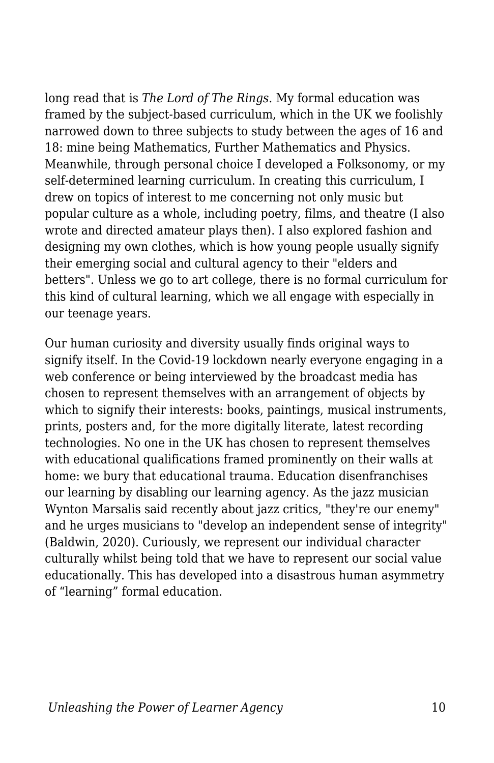long read that is *The Lord of The Rings*. My formal education was framed by the subject-based curriculum, which in the UK we foolishly narrowed down to three subjects to study between the ages of 16 and 18: mine being Mathematics, Further Mathematics and Physics. Meanwhile, through personal choice I developed a Folksonomy, or my self-determined learning curriculum. In creating this curriculum, I drew on topics of interest to me concerning not only music but popular culture as a whole, including poetry, films, and theatre (I also wrote and directed amateur plays then). I also explored fashion and designing my own clothes, which is how young people usually signify their emerging social and cultural agency to their "elders and betters". Unless we go to art college, there is no formal curriculum for this kind of cultural learning, which we all engage with especially in our teenage years.

Our human curiosity and diversity usually finds original ways to signify itself. In the Covid-19 lockdown nearly everyone engaging in a web conference or being interviewed by the broadcast media has chosen to represent themselves with an arrangement of objects by which to signify their interests: books, paintings, musical instruments, prints, posters and, for the more digitally literate, latest recording technologies. No one in the UK has chosen to represent themselves with educational qualifications framed prominently on their walls at home: we bury that educational trauma. Education disenfranchises our learning by disabling our learning agency. As the jazz musician Wynton Marsalis said recently about jazz critics, "they're our enemy" and he urges musicians to "develop an independent sense of integrity" (Baldwin, 2020). Curiously, we represent our individual character culturally whilst being told that we have to represent our social value educationally. This has developed into a disastrous human asymmetry of "learning" formal education.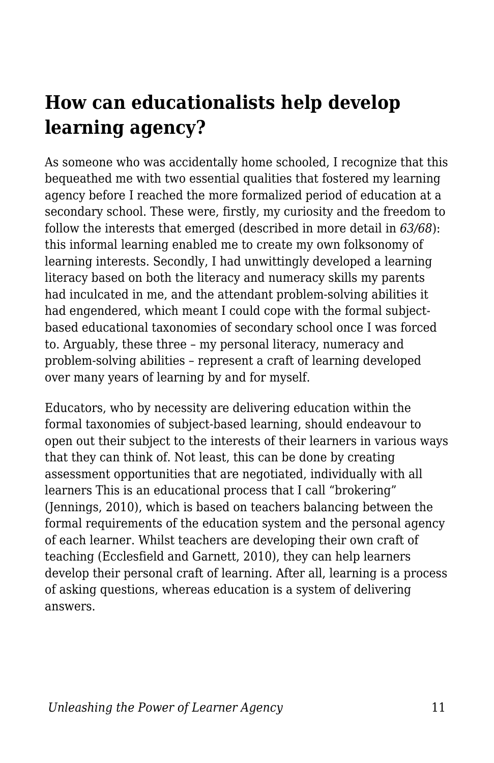### **How can educationalists help develop learning agency?**

As someone who was accidentally home schooled, I recognize that this bequeathed me with two essential qualities that fostered my learning agency before I reached the more formalized period of education at a secondary school. These were, firstly, my curiosity and the freedom to follow the interests that emerged (described in more detail in *63/68*): this informal learning enabled me to create my own folksonomy of learning interests. Secondly, I had unwittingly developed a learning literacy based on both the literacy and numeracy skills my parents had inculcated in me, and the attendant problem-solving abilities it had engendered, which meant I could cope with the formal subjectbased educational taxonomies of secondary school once I was forced to. Arguably, these three – my personal literacy, numeracy and problem-solving abilities – represent a craft of learning developed over many years of learning by and for myself.

Educators, who by necessity are delivering education within the formal taxonomies of subject-based learning, should endeavour to open out their subject to the interests of their learners in various ways that they can think of. Not least, this can be done by creating assessment opportunities that are negotiated, individually with all learners This is an educational process that I call "brokering" (Jennings, 2010), which is based on teachers balancing between the formal requirements of the education system and the personal agency of each learner. Whilst teachers are developing their own craft of teaching (Ecclesfield and Garnett, 2010), they can help learners develop their personal craft of learning. After all, learning is a process of asking questions, whereas education is a system of delivering answers.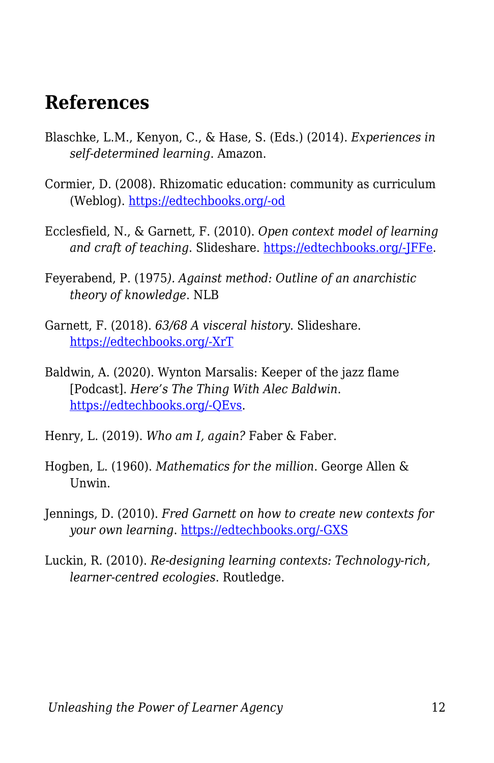#### **References**

- Blaschke, L.M., Kenyon, C., & Hase, S. (Eds.) (2014). *Experiences in self-determined learning*. Amazon.
- Cormier, D. (2008). Rhizomatic education: community as curriculum (Weblog). [https://edtechbooks.org/-od](http://davecormier.com/edblog/2008/06/03/rhizomatic-education-community-as-curriculum/)
- Ecclesfield, N., & Garnett, F. (2010). *Open context model of learning and craft of teaching*. Slideshare. [https://edtechbooks.org/-JFFe](https://www.slideshare.net/fredgarnett/nefg-opencontextmodelcraftteachingoutlinev4).
- Feyerabend, P. (1975*). Against method: Outline of an anarchistic theory of knowledge*. NLB
- Garnett, F. (2018). *63/68 A visceral history*. Slideshare. [https://edtechbooks.org/-XrT](https://www2.slideshare.net/fredgarnett/6368-a-visceral-history-by-fred-garnett)
- Baldwin, A. (2020). Wynton Marsalis: Keeper of the jazz flame [Podcast]. *Here's The Thing With Alec Baldwin*. [https://edtechbooks.org/-QEvs](https://www.wnycstudios.org/podcasts/heresthething/episodes/wynton-marsalis-keeper-jazz-flame).
- Henry, L. (2019). *Who am I, again?* Faber & Faber.
- Hogben, L. (1960). *Mathematics for the million*. George Allen & Unwin.
- Jennings, D. (2010). *Fred Garnett on how to create new contexts for your own learning*. [https://edtechbooks.org/-GXS](http://alchemi.co.uk/archives/ele/fred_garnett_on.html/)
- Luckin, R. (2010). *Re-designing learning contexts: Technology-rich, learner-centred ecologies*. Routledge.